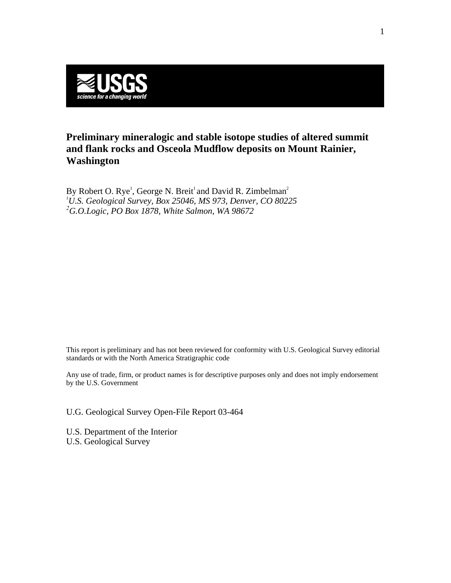

# **Preliminary mineralogic and stable isotope studies of altered summit and flank rocks and Osceola Mudflow deposits on Mount Rainier, Washington**

By Robert O. Rye<sup>1</sup>, George N. Breit<sup>1</sup> and David R. Zimbelman<sup>2</sup> *1 U.S. Geological Survey, Box 25046, MS 973, Denver, CO 80225 2 G.O.Logic, PO Box 1878, White Salmon, WA 98672* 

This report is preliminary and has not been reviewed for conformity with U.S. Geological Survey editorial standards or with the North America Stratigraphic code

Any use of trade, firm, or product names is for descriptive purposes only and does not imply endorsement by the U.S. Government

U.G. Geological Survey Open-File Report 03-464

U.S. Department of the Interior U.S. Geological Survey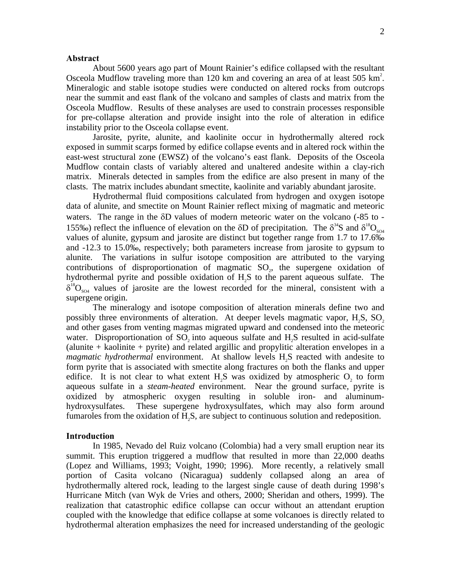## **Abstract**

About 5600 years ago part of Mount Rainier's edifice collapsed with the resultant Osceola Mudflow traveling more than  $120 \text{ km}$  and covering an area of at least  $505 \text{ km}^2$ . Mineralogic and stable isotope studies were conducted on altered rocks from outcrops near the summit and east flank of the volcano and samples of clasts and matrix from the Osceola Mudflow. Results of these analyses are used to constrain processes responsible for pre-collapse alteration and provide insight into the role of alteration in edifice instability prior to the Osceola collapse event.

Jarosite, pyrite, alunite, and kaolinite occur in hydrothermally altered rock exposed in summit scarps formed by edifice collapse events and in altered rock within the east-west structural zone (EWSZ) of the volcano's east flank. Deposits of the Osceola Mudflow contain clasts of variably altered and unaltered andesite within a clay-rich matrix. Minerals detected in samples from the edifice are also present in many of the clasts. The matrix includes abundant smectite, kaolinite and variably abundant jarosite.

hydrothermal pyrite and possible oxidation of H<sub>2</sub>S to the parent aqueous sulfate. The  $\delta^{18}O_{s04}$  values of jarosite are the lowest recorded for the mineral, consistent with a Hydrothermal fluid compositions calculated from hydrogen and oxygen isotope data of alunite, and smectite on Mount Rainier reflect mixing of magmatic and meteoric waters. The range in the δD values of modern meteoric water on the volcano (-85 to 155‰) reflect the influence of elevation on the  $\delta$ D of precipitation. The  $\delta^{34}$ S and  $\delta^{18}O_{\rm SO4}$ values of alunite, gypsum and jarosite are distinct but together range from 1.7 to 17.6‰ and -12.3 to 15.0‰, respectively; both parameters increase from jarosite to gypsum to alunite. The variations in sulfur isotope composition are attributed to the varying contributions of disproportionation of magmatic  $SO_2$ , the supergene oxidation of supergene origin.

The mineralogy and isotope composition of alteration minerals define two and possibly three environments of alteration. At deeper levels magmatic vapor,  $H.S. SO<sub>2</sub>$ and other gases from venting magmas migrated upward and condensed into the meteoric water. Disproportionation of SO<sub>2</sub> into aqueous sulfate and H<sub>2</sub>S resulted in acid-sulfate (alunite  $+$  kaolinite  $+$  pyrite) and related argillic and propylitic alteration envelopes in a *magmatic hydrothermal* environment. At shallow levels H<sub>2</sub>S reacted with andesite to form pyrite that is associated with smectite along fractures on both the flanks and upper edifice. It is not clear to what extent  $H_2S$  was oxidized by atmospheric  $O_2$  to form aqueous sulfate in a *steam-heated* environment. Near the ground surface, pyrite is oxidized by atmospheric oxygen resulting in soluble iron- and aluminumhydroxysulfates. These supergene hydroxysulfates, which may also form around fumaroles from the oxidation of H,S, are subject to continuous solution and redeposition.

#### **Introduction**

In 1985, Nevado del Ruiz volcano (Colombia) had a very small eruption near its summit. This eruption triggered a mudflow that resulted in more than 22,000 deaths (Lopez and Williams, 1993; Voight, 1990; 1996). More recently, a relatively small portion of Casita volcano (Nicaragua) suddenly collapsed along an area of hydrothermally altered rock, leading to the largest single cause of death during 1998's Hurricane Mitch (van Wyk de Vries and others, 2000; Sheridan and others, 1999). The realization that catastrophic edifice collapse can occur without an attendant eruption coupled with the knowledge that edifice collapse at some volcanoes is directly related to hydrothermal alteration emphasizes the need for increased understanding of the geologic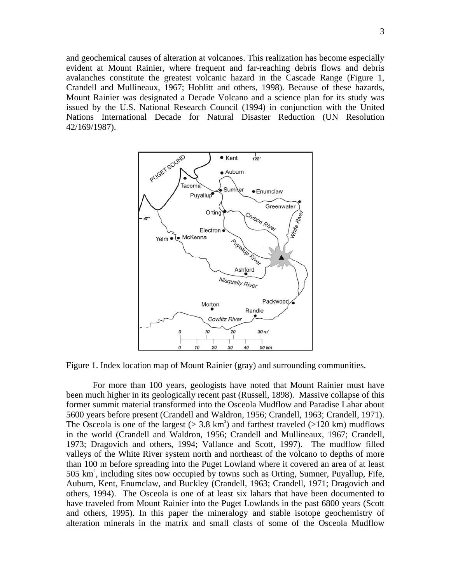and geochemical causes of alteration at volcanoes. This realization has become especially evident at Mount Rainier, where frequent and far-reaching debris flows and debris avalanches constitute the greatest volcanic hazard in the Cascade Range (Figure 1, Crandell and Mullineaux, 1967; Hoblitt and others, 1998). Because of these hazards, Mount Rainier was designated a Decade Volcano and a science plan for its study was issued by the U.S. National Research Council (1994) in conjunction with the United Nations International Decade for Natural Disaster Reduction (UN Resolution 42/169/1987).



Figure 1. Index location map of Mount Rainier (gray) and surrounding communities.

For more than 100 years, geologists have noted that Mount Rainier must have been much higher in its geologically recent past (Russell, 1898). Massive collapse of this former summit material transformed into the Osceola Mudflow and Paradise Lahar about 5600 years before present (Crandell and Waldron, 1956; Crandell, 1963; Crandell, 1971). The Osceola is one of the largest ( $> 3.8 \text{ km}^3$ ) and farthest traveled ( $> 120 \text{ km}$ ) mudflows in the world (Crandell and Waldron, 1956; Crandell and Mullineaux, 1967; Crandell, 1973; Dragovich and others, 1994; Vallance and Scott, 1997). The mudflow filled valleys of the White River system north and northeast of the volcano to depths of more than 100 m before spreading into the Puget Lowland where it covered an area of at least 505  $km^2$ , including sites now occupied by towns such as Orting, Sumner, Puyallup, Fife, Auburn, Kent, Enumclaw, and Buckley (Crandell, 1963; Crandell, 1971; Dragovich and others, 1994). The Osceola is one of at least six lahars that have been documented to have traveled from Mount Rainier into the Puget Lowlands in the past 6800 years (Scott and others, 1995). In this paper the mineralogy and stable isotope geochemistry of alteration minerals in the matrix and small clasts of some of the Osceola Mudflow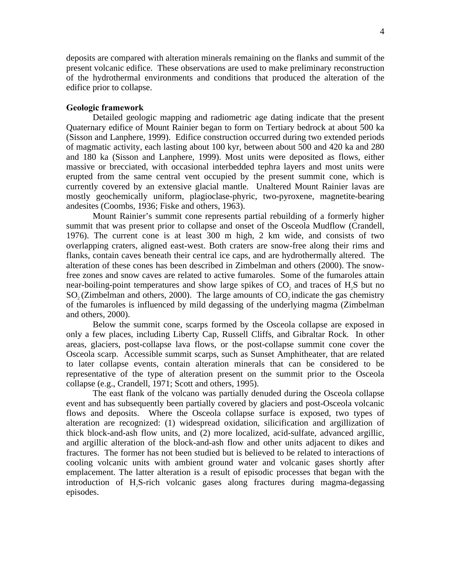deposits are compared with alteration minerals remaining on the flanks and summit of the present volcanic edifice. These observations are used to make preliminary reconstruction of the hydrothermal environments and conditions that produced the alteration of the edifice prior to collapse.

# **Geologic framework**

Detailed geologic mapping and radiometric age dating indicate that the present Quaternary edifice of Mount Rainier began to form on Tertiary bedrock at about 500 ka (Sisson and Lanphere, 1999). Edifice construction occurred during two extended periods of magmatic activity, each lasting about 100 kyr, between about 500 and 420 ka and 280 and 180 ka (Sisson and Lanphere, 1999). Most units were deposited as flows, either massive or brecciated, with occasional interbedded tephra layers and most units were erupted from the same central vent occupied by the present summit cone, which is currently covered by an extensive glacial mantle. Unaltered Mount Rainier lavas are mostly geochemically uniform, plagioclase-phyric, two-pyroxene, magnetite-bearing andesites (Coombs, 1936; Fiske and others, 1963).

Mount Rainier's summit cone represents partial rebuilding of a formerly higher summit that was present prior to collapse and onset of the Osceola Mudflow (Crandell, 1976). The current cone is at least 300 m high, 2 km wide, and consists of two overlapping craters, aligned east-west. Both craters are snow-free along their rims and flanks, contain caves beneath their central ice caps, and are hydrothermally altered. The alteration of these cones has been described in Zimbelman and others (2000). The snowfree zones and snow caves are related to active fumaroles. Some of the fumaroles attain near-boiling-point temperatures and show large spikes of  $CO_2$  and traces of  $H_2S$  but no  $SO<sub>2</sub>(Zimbelman and others, 2000)$ . The large amounts of  $CO<sub>2</sub>$  indicate the gas chemistry of the fumaroles is influenced by mild degassing of the underlying magma (Zimbelman and others, 2000).

Below the summit cone, scarps formed by the Osceola collapse are exposed in only a few places, including Liberty Cap, Russell Cliffs, and Gibraltar Rock*.* In other areas, glaciers, post-collapse lava flows, or the post-collapse summit cone cover the Osceola scarp. Accessible summit scarps, such as Sunset Amphitheater, that are related to later collapse events, contain alteration minerals that can be considered to be representative of the type of alteration present on the summit prior to the Osceola collapse (e.g., Crandell, 1971; Scott and others, 1995).

The east flank of the volcano was partially denuded during the Osceola collapse event and has subsequently been partially covered by glaciers and post-Osceola volcanic flows and deposits. Where the Osceola collapse surface is exposed, two types of alteration are recognized: (1) widespread oxidation, silicification and argillization of thick block-and-ash flow units, and (2) more localized, acid-sulfate, advanced argillic, and argillic alteration of the block-and-ash flow and other units adjacent to dikes and fractures. The former has not been studied but is believed to be related to interactions of cooling volcanic units with ambient ground water and volcanic gases shortly after emplacement. The latter alteration is a result of episodic processes that began with the introduction of H<sub>2</sub>S-rich volcanic gases along fractures during magma-degassing episodes.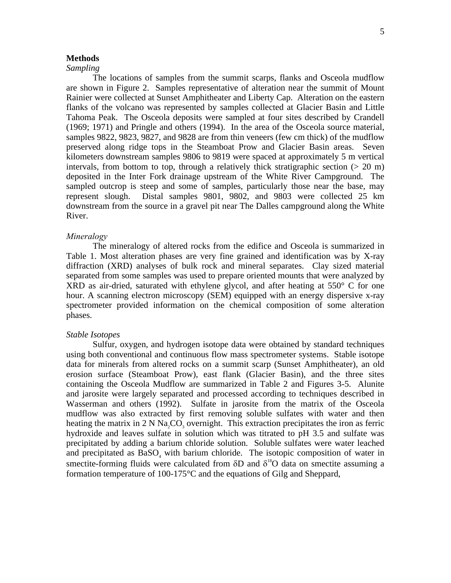# **Methods**

# *Sampling*

The locations of samples from the summit scarps, flanks and Osceola mudflow are shown in Figure 2. Samples representative of alteration near the summit of Mount Rainier were collected at Sunset Amphitheater and Liberty Cap. Alteration on the eastern flanks of the volcano was represented by samples collected at Glacier Basin and Little Tahoma Peak. The Osceola deposits were sampled at four sites described by Crandell (1969; 1971) and Pringle and others (1994). In the area of the Osceola source material, samples 9822, 9823, 9827, and 9828 are from thin veneers (few cm thick) of the mudflow preserved along ridge tops in the Steamboat Prow and Glacier Basin areas. Seven kilometers downstream samples 9806 to 9819 were spaced at approximately 5 m vertical intervals, from bottom to top, through a relatively thick stratigraphic section  $(> 20 \text{ m})$ deposited in the Inter Fork drainage upstream of the White River Campground. The sampled outcrop is steep and some of samples, particularly those near the base, may represent slough. Distal samples 9801, 9802, and 9803 were collected 25 km downstream from the source in a gravel pit near The Dalles campground along the White River.

# *Mineralogy*

The mineralogy of altered rocks from the edifice and Osceola is summarized in Table 1. Most alteration phases are very fine grained and identification was by X-ray diffraction (XRD) analyses of bulk rock and mineral separates. Clay sized material separated from some samples was used to prepare oriented mounts that were analyzed by XRD as air-dried, saturated with ethylene glycol, and after heating at 550° C for one hour. A scanning electron microscopy (SEM) equipped with an energy dispersive x-ray spectrometer provided information on the chemical composition of some alteration phases.

### *Stable Isotopes*

Sulfur, oxygen, and hydrogen isotope data were obtained by standard techniques using both conventional and continuous flow mass spectrometer systems. Stable isotope data for minerals from altered rocks on a summit scarp (Sunset Amphitheater), an old erosion surface (Steamboat Prow), east flank (Glacier Basin), and the three sites containing the Osceola Mudflow are summarized in Table 2 and Figures 3-5. Alunite and jarosite were largely separated and processed according to techniques described in Wasserman and others (1992). Sulfate in jarosite from the matrix of the Osceola mudflow was also extracted by first removing soluble sulfates with water and then heating the matrix in  $2 \text{ N}$  Na<sub>2</sub>CO<sub>3</sub> overnight. This extraction precipitates the iron as ferric hydroxide and leaves sulfate in solution which was titrated to pH 3.5 and sulfate was precipitated by adding a barium chloride solution. Soluble sulfates were water leached and precipitated as  $BaSO<sub>4</sub>$  with barium chloride. The isotopic composition of water in smectite-forming fluids were calculated from  $\delta D$  and  $\delta^{18}O$  data on smectite assuming a formation temperature of 100-175°C and the equations of Gilg and Sheppard,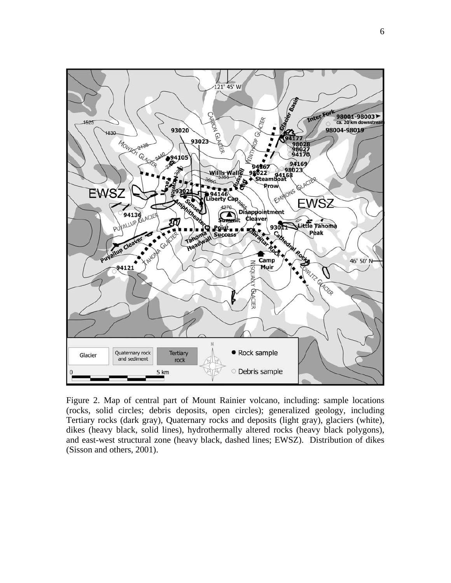

Figure 2. Map of central part of Mount Rainier volcano, including: sample locations (rocks, solid circles; debris deposits, open circles); generalized geology, including Tertiary rocks (dark gray), Quaternary rocks and deposits (light gray), glaciers (white), dikes (heavy black, solid lines), hydrothermally altered rocks (heavy black polygons), and east-west structural zone (heavy black, dashed lines; EWSZ). Distribution of dikes (Sisson and others, 2001).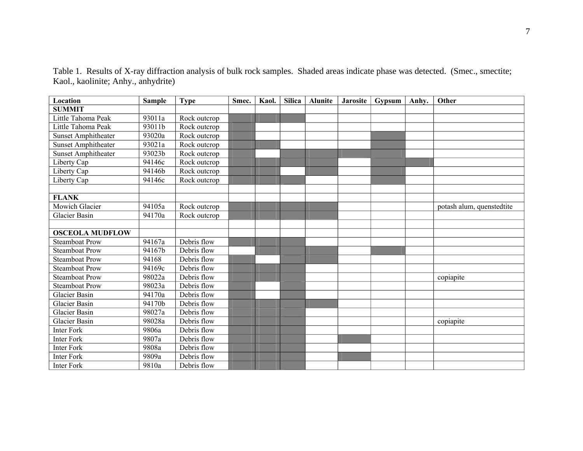| Location                   | <b>Sample</b> | <b>Type</b>  | Smec. | Kaol. | <b>Silica</b> | <b>Alunite</b> | <b>Jarosite</b> | Gypsum | Anhy. | Other                     |
|----------------------------|---------------|--------------|-------|-------|---------------|----------------|-----------------|--------|-------|---------------------------|
| <b>SUMMIT</b>              |               |              |       |       |               |                |                 |        |       |                           |
| Little Tahoma Peak         | 93011a        | Rock outcrop |       |       |               |                |                 |        |       |                           |
| Little Tahoma Peak         | 93011b        | Rock outcrop |       |       |               |                |                 |        |       |                           |
| <b>Sunset Amphitheater</b> | 93020a        | Rock outcrop |       |       |               |                |                 |        |       |                           |
| <b>Sunset Amphitheater</b> | 93021a        | Rock outcrop |       |       |               |                |                 |        |       |                           |
| <b>Sunset Amphitheater</b> | 93023b        | Rock outcrop |       |       |               |                |                 |        |       |                           |
| Liberty Cap                | 94146c        | Rock outcrop |       |       |               |                |                 |        |       |                           |
| Liberty Cap                | 94146b        | Rock outcrop |       |       |               |                |                 |        |       |                           |
| Liberty Cap                | 94146c        | Rock outcrop |       |       |               |                |                 |        |       |                           |
|                            |               |              |       |       |               |                |                 |        |       |                           |
| <b>FLANK</b>               |               |              |       |       |               |                |                 |        |       |                           |
| Mowich Glacier             | 94105a        | Rock outcrop |       |       |               |                |                 |        |       | potash alum, quenstedtite |
| <b>Glacier Basin</b>       | 94170a        | Rock outcrop |       |       |               |                |                 |        |       |                           |
|                            |               |              |       |       |               |                |                 |        |       |                           |
| <b>OSCEOLA MUDFLOW</b>     |               |              |       |       |               |                |                 |        |       |                           |
| <b>Steamboat Prow</b>      | 94167a        | Debris flow  |       |       |               |                |                 |        |       |                           |
| <b>Steamboat Prow</b>      | 94167b        | Debris flow  |       |       |               |                |                 |        |       |                           |
| <b>Steamboat Prow</b>      | 94168         | Debris flow  |       |       |               |                |                 |        |       |                           |
| <b>Steamboat Prow</b>      | 94169c        | Debris flow  |       |       |               |                |                 |        |       |                           |
| <b>Steamboat Prow</b>      | 98022a        | Debris flow  |       |       |               |                |                 |        |       | copiapite                 |
| <b>Steamboat Prow</b>      | 98023a        | Debris flow  |       |       |               |                |                 |        |       |                           |
| <b>Glacier Basin</b>       | 94170a        | Debris flow  |       |       |               |                |                 |        |       |                           |
| <b>Glacier Basin</b>       | 94170b        | Debris flow  |       |       |               |                |                 |        |       |                           |
| <b>Glacier Basin</b>       | 98027a        | Debris flow  |       |       |               |                |                 |        |       |                           |
| <b>Glacier Basin</b>       | 98028a        | Debris flow  |       |       |               |                |                 |        |       | copiapite                 |
| <b>Inter Fork</b>          | 9806a         | Debris flow  |       |       |               |                |                 |        |       |                           |
| <b>Inter Fork</b>          | 9807a         | Debris flow  |       |       |               |                |                 |        |       |                           |
| <b>Inter Fork</b>          | 9808a         | Debris flow  |       |       |               |                |                 |        |       |                           |
| <b>Inter Fork</b>          | 9809a         | Debris flow  |       |       |               |                |                 |        |       |                           |
| <b>Inter Fork</b>          | 9810a         | Debris flow  |       |       |               |                |                 |        |       |                           |

Table 1. Results of X-ray diffraction analysis of bulk rock samples. Shaded areas indicate phase was detected. (Smec., smectite; Kaol., kaolinite; Anhy., anhydrite)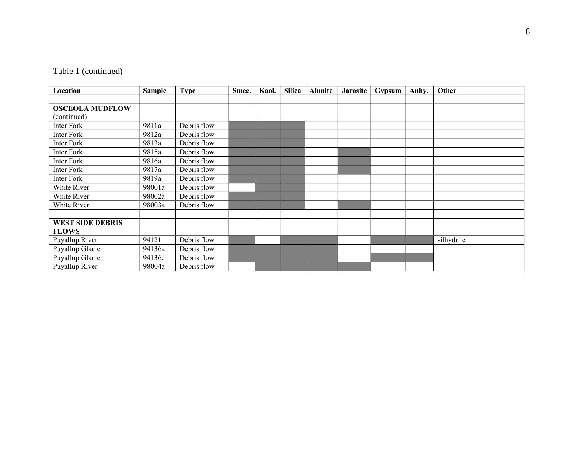# Table 1 (continued)

| Location                | <b>Sample</b> | <b>Type</b> | Smec. | Kaol. | <b>Silica</b> | <b>Alunite</b> | <b>Jarosite</b> | Gypsum | Anhy. | Other      |
|-------------------------|---------------|-------------|-------|-------|---------------|----------------|-----------------|--------|-------|------------|
|                         |               |             |       |       |               |                |                 |        |       |            |
| <b>OSCEOLA MUDFLOW</b>  |               |             |       |       |               |                |                 |        |       |            |
| (continued)             |               |             |       |       |               |                |                 |        |       |            |
| Inter Fork              | 9811a         | Debris flow |       |       |               |                |                 |        |       |            |
| Inter Fork              | 9812a         | Debris flow |       |       |               |                |                 |        |       |            |
| Inter Fork              | 9813a         | Debris flow |       |       |               |                |                 |        |       |            |
| <b>Inter Fork</b>       | 9815a         | Debris flow |       |       |               |                |                 |        |       |            |
| Inter Fork              | 9816a         | Debris flow |       |       |               |                |                 |        |       |            |
| Inter Fork              | 9817a         | Debris flow |       |       |               |                |                 |        |       |            |
| Inter Fork              | 9819a         | Debris flow |       |       |               |                |                 |        |       |            |
| White River             | 98001a        | Debris flow |       |       |               |                |                 |        |       |            |
| White River             | 98002a        | Debris flow |       |       |               |                |                 |        |       |            |
| White River             | 98003a        | Debris flow |       |       |               |                |                 |        |       |            |
|                         |               |             |       |       |               |                |                 |        |       |            |
| <b>WEST SIDE DEBRIS</b> |               |             |       |       |               |                |                 |        |       |            |
| <b>FLOWS</b>            |               |             |       |       |               |                |                 |        |       |            |
| Puyallup River          | 94121         | Debris flow |       |       |               |                |                 |        |       | silhydrite |
| Puyallup Glacier        | 94136a        | Debris flow |       |       |               |                |                 |        |       |            |
| Puyallup Glacier        | 94136c        | Debris flow |       |       |               |                |                 |        |       |            |
| Puyallup River          | 98004a        | Debris flow |       |       |               |                |                 |        |       |            |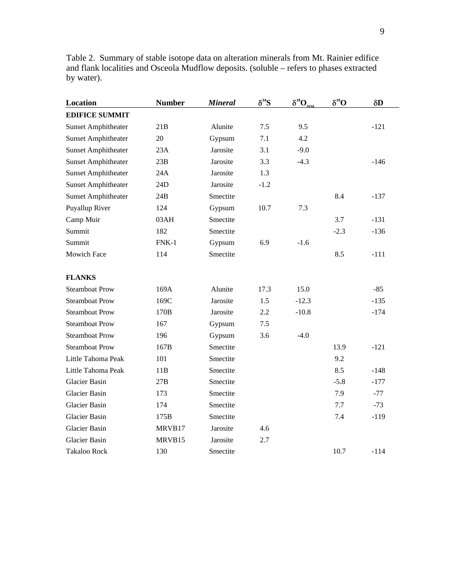Table 2. Summary of stable isotope data on alteration minerals from Mt. Rainier edifice and flank localities and Osceola Mudflow deposits. (soluble – refers to phases extracted by water).

| Location                   | <b>Number</b> | <b>Mineral</b> | $\delta^{34}S$ | $\delta^{18}O_{SO4}$ | $\delta^{18}O$ | $\delta D$ |
|----------------------------|---------------|----------------|----------------|----------------------|----------------|------------|
| <b>EDIFICE SUMMIT</b>      |               |                |                |                      |                |            |
| <b>Sunset Amphitheater</b> | 21B           | Alunite        | 7.5            | 9.5                  |                | $-121$     |
| <b>Sunset Amphitheater</b> | 20            | Gypsum         | 7.1            | 4.2                  |                |            |
| <b>Sunset Amphitheater</b> | 23A           | Jarosite       | 3.1            | $-9.0$               |                |            |
| <b>Sunset Amphitheater</b> | 23B           | Jarosite       | 3.3            | $-4.3$               |                | $-146$     |
| <b>Sunset Amphitheater</b> | 24A           | Jarosite       | 1.3            |                      |                |            |
| <b>Sunset Amphitheater</b> | 24D           | Jarosite       | $-1.2$         |                      |                |            |
| <b>Sunset Amphitheater</b> | 24B           | Smectite       |                |                      | 8.4            | $-137$     |
| Puyallup River             | 124           | Gypsum         | 10.7           | 7.3                  |                |            |
| Camp Muir                  | 03AH          | Smectite       |                |                      | 3.7            | $-131$     |
| Summit                     | 182           | Smectite       |                |                      | $-2.3$         | $-136$     |
| Summit                     | $FNK-1$       | Gypsum         | 6.9            | $-1.6$               |                |            |
| <b>Mowich Face</b>         | 114           | Smectite       |                |                      | 8.5            | $-111$     |
| <b>FLANKS</b>              |               |                |                |                      |                |            |
| <b>Steamboat Prow</b>      | 169A          | Alunite        | 17.3           | 15.0                 |                | $-85$      |
| <b>Steamboat Prow</b>      | 169C          | Jarosite       | 1.5            | $-12.3$              |                | $-135$     |
| <b>Steamboat Prow</b>      | 170B          | Jarosite       | 2.2            | $-10.8$              |                | $-174$     |
| <b>Steamboat Prow</b>      | 167           | Gypsum         | 7.5            |                      |                |            |
| <b>Steamboat Prow</b>      | 196           | Gypsum         | 3.6            | $-4.0$               |                |            |
| <b>Steamboat Prow</b>      | 167B          | Smectite       |                |                      | 13.9           | $-121$     |
| Little Tahoma Peak         | 101           | Smectite       |                |                      | 9.2            |            |
| Little Tahoma Peak         | 11B           | Smectite       |                |                      | 8.5            | $-148$     |
| <b>Glacier Basin</b>       | 27B           | Smectite       |                |                      | $-5.8$         | $-177$     |
| <b>Glacier Basin</b>       | 173           | Smectite       |                |                      | 7.9            | $-77$      |
| <b>Glacier Basin</b>       | 174           | Smectite       |                |                      | 7.7            | $-73$      |
| <b>Glacier Basin</b>       | 175B          | Smectite       |                |                      | 7.4            | $-119$     |
| <b>Glacier Basin</b>       | MRVB17        | Jarosite       | 4.6            |                      |                |            |
| <b>Glacier Basin</b>       | MRVB15        | Jarosite       | 2.7            |                      |                |            |
| Takaloo Rock               | 130           | Smectite       |                |                      | 10.7           | $-114$     |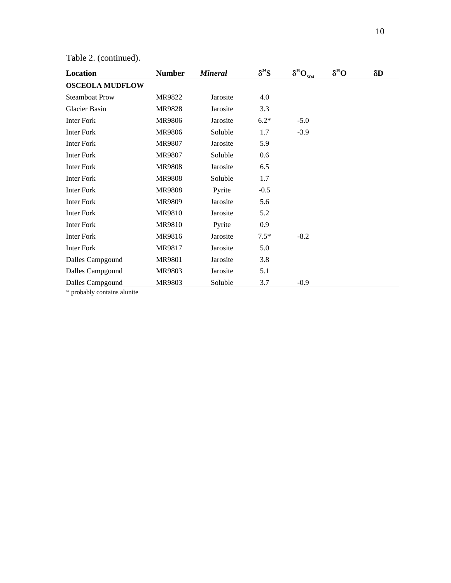|  | Table 2. (continued). |
|--|-----------------------|
|--|-----------------------|

| Location               | <b>Number</b> | <b>Mineral</b> | $\delta^{34}S$ | $\delta^{^{18}\!} \underline{\rm O}_{\rm SO4}$ | $\delta^{^{8}O}$ | $\delta D$ |
|------------------------|---------------|----------------|----------------|------------------------------------------------|------------------|------------|
| <b>OSCEOLA MUDFLOW</b> |               |                |                |                                                |                  |            |
| <b>Steamboat Prow</b>  | MR9822        | Jarosite       | 4.0            |                                                |                  |            |
| Glacier Basin          | <b>MR9828</b> | Jarosite       | 3.3            |                                                |                  |            |
| <b>Inter Fork</b>      | MR9806        | Jarosite       | $6.2*$         | $-5.0$                                         |                  |            |
| <b>Inter Fork</b>      | MR9806        | Soluble        | 1.7            | $-3.9$                                         |                  |            |
| <b>Inter Fork</b>      | <b>MR9807</b> | Jarosite       | 5.9            |                                                |                  |            |
| <b>Inter Fork</b>      | <b>MR9807</b> | Soluble        | 0.6            |                                                |                  |            |
| <b>Inter Fork</b>      | <b>MR9808</b> | Jarosite       | 6.5            |                                                |                  |            |
| <b>Inter Fork</b>      | <b>MR9808</b> | Soluble        | 1.7            |                                                |                  |            |
| <b>Inter Fork</b>      | <b>MR9808</b> | Pyrite         | $-0.5$         |                                                |                  |            |
| <b>Inter Fork</b>      | <b>MR9809</b> | Jarosite       | 5.6            |                                                |                  |            |
| <b>Inter Fork</b>      | <b>MR9810</b> | Jarosite       | 5.2            |                                                |                  |            |
| <b>Inter Fork</b>      | MR9810        | Pyrite         | 0.9            |                                                |                  |            |
| <b>Inter Fork</b>      | MR9816        | Jarosite       | $7.5*$         | $-8.2$                                         |                  |            |
| <b>Inter Fork</b>      | MR9817        | Jarosite       | 5.0            |                                                |                  |            |
| Dalles Campgound       | <b>MR9801</b> | Jarosite       | 3.8            |                                                |                  |            |
| Dalles Campgound       | MR9803        | Jarosite       | 5.1            |                                                |                  |            |
| Dalles Campgound       | MR9803        | Soluble        | 3.7            | $-0.9$                                         |                  |            |

\* probably contains alunite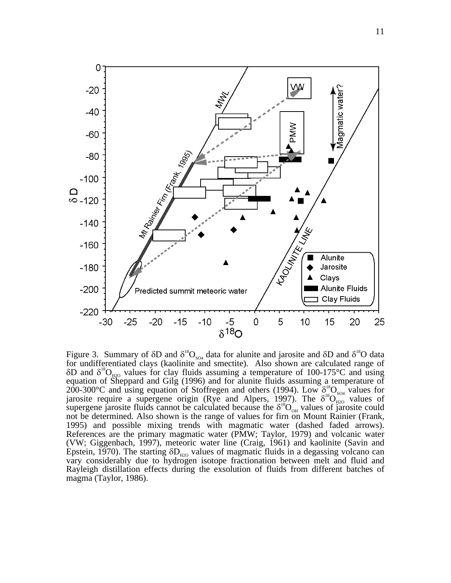

Figure 3. Summary of  $\delta D$  and  $\delta^{18}O_{\text{SO}_4}$  data for alunite and jarosite and  $\delta D$  and  $\delta^{18}O$  data for undifferentiated clays (kaolinite and smectite). Also shown are calculated range of  $\delta$ D and  $\delta^{18}O_{\text{H2O}}$  values for clay fluids assuming a temperature of 100-175°C and using equation of Sheppard and Gilg (1996) and for alunite fluids assuming a temperature of 200-300°C and using equation of Stoffregen and others (1994). Low  $\delta_{\text{18}}^{18}O_{\text{SO}_4}$  values for jarosite require a supergene origin (Rye and Alpers, 1997). The  $\delta^{18}O_{H2O}^{300}$  values of supergene jarosite fluids cannot be calculated because the  $\delta^{18}O_{\scriptscriptstyle O}$  values of jarosite could not be determined*.* Also shown is the range of values for firn on Mount Rainier (Frank, 1995) and possible mixing trends with magmatic water (dashed faded arrows). References are the primary magmatic water (PMW; Taylor, 1979) and volcanic water (VW; Giggenbach, 1997), meteoric water line (Craig, 1961) and kaolinite (Savin and Epstein, 1970). The starting  $\delta D_{\text{\tiny H2O}}$  values of magmatic fluids in a degassing volcano can vary considerably due to hydrogen isotope fractionation between melt and fluid and Rayleigh distillation effects during the exsolution of fluids from different batches of magma (Taylor, 1986).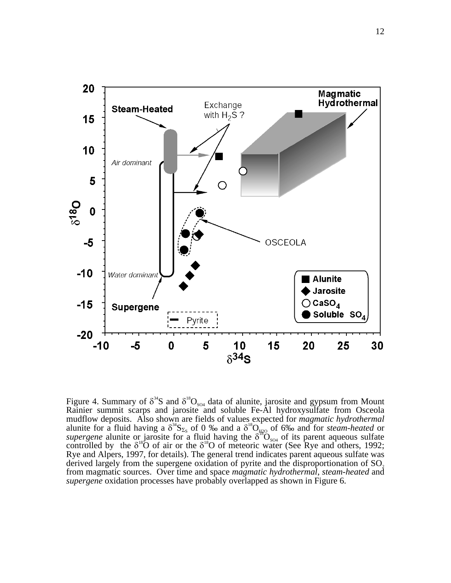

Figure 4. Summary of  $\delta^{34}S$  and  $\delta^{18}O_{SO4}$  data of alunite, jarosite and gypsum from Mount Rainier summit scarps and jarosite and soluble Fe-Al hydroxysulfate from Osceola mudflow deposits. Also shown are fields of values expected for *magmatic hydrothermal*  alunite for a fluid having a  $\delta^3 S_{\Sigma_S}$  of 0 ‰ and a  $\delta^8 O_{H2O}$  of 6‰ and for *steam-heated* or *supergene* alunite or jarosite for a fluid having the  $\delta^{18}O_{\text{SO}_4}$  of its parent aqueous sulfate controlled by the  $\delta^{18}$ O of air or the  $\delta^{18}$ O of meteoric water (See Rye and others, 1992; Rye and Alpers, 1997, for details). The general trend indicates parent aqueous sulfate was derived largely from the supergene oxidation of pyrite and the disproportionation of SO. from magmatic sources. Over time and space *magmatic hydrothermal*, *steam-heated* and *supergene* oxidation processes have probably overlapped as shown in Figure 6.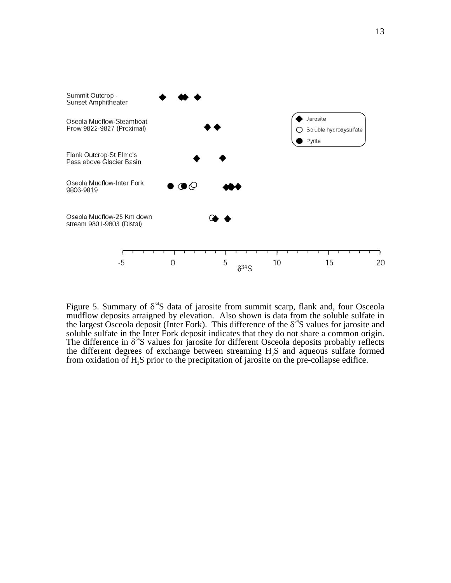

Figure 5. Summary of  $\delta^{34}$ S data of jarosite from summit scarp, flank and, four Osceola mudflow deposits arraigned by elevation. Also shown is data from the soluble sulfate in the largest Osceola deposit (Inter Fork). This difference of the  $\delta^{34}S$  values for jarosite and soluble sulfate in the Inter Fork deposit indicates that they do not share a common origin. The difference in  $\delta^{34}$ S values for jarosite for different Osceola deposits probably reflects the different degrees of exchange between streaming H<sub>2</sub>S and aqueous sulfate formed from oxidation of H2S prior to the precipitation of jarosite on the pre-collapse edifice.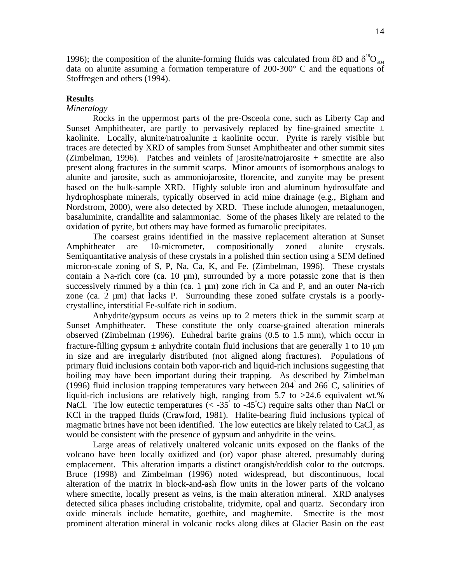1996); the composition of the alunite-forming fluids was calculated from δD and  $δ<sup>18</sup>O<sub>so4</sub>$ data on alunite assuming a formation temperature of 200-300° C and the equations of Stoffregen and others (1994).

#### **Results**

# *Mineralogy*

Rocks in the uppermost parts of the pre-Osceola cone, such as Liberty Cap and Sunset Amphitheater, are partly to pervasively replaced by fine-grained smectite  $\pm$ kaolinite. Locally, alunite/natroalunite  $\pm$  kaolinite occur. Pyrite is rarely visible but traces are detected by XRD of samples from Sunset Amphitheater and other summit sites (Zimbelman, 1996). Patches and veinlets of jarosite/natrojarosite + smectite are also present along fractures in the summit scarps. Minor amounts of isomorphous analogs to alunite and jarosite, such as ammoniojarosite, florencite, and zunyite may be present based on the bulk-sample XRD. Highly soluble iron and aluminum hydrosulfate and hydrophosphate minerals, typically observed in acid mine drainage (e.g., Bigham and Nordstrom, 2000), were also detected by XRD. These include alunogen, metaalunogen, basaluminite, crandallite and salammoniac. Some of the phases likely are related to the oxidation of pyrite, but others may have formed as fumarolic precipitates.

The coarsest grains identified in the massive replacement alteration at Sunset Amphitheater are 10-micrometer, compositionally zoned alunite crystals. Semiquantitative analysis of these crystals in a polished thin section using a SEM defined micron-scale zoning of S, P, Na, Ca, K, and Fe. (Zimbelman, 1996). These crystals contain a Na-rich core (ca. 10  $\mu$ m), surrounded by a more potassic zone that is then successively rimmed by a thin (ca. 1  $\mu$ m) zone rich in Ca and P, and an outer Na-rich zone (ca.  $2 \mu m$ ) that lacks P. Surrounding these zoned sulfate crystals is a poorlycrystalline, interstitial Fe-sulfate rich in sodium.

Anhydrite/gypsum occurs as veins up to 2 meters thick in the summit scarp at Sunset Amphitheater. These constitute the only coarse-grained alteration minerals observed (Zimbelman (1996). Euhedral barite grains (0.5 to 1.5 mm), which occur in fracture-filling gypsum  $\pm$  anhydrite contain fluid inclusions that are generally 1 to 10  $\mu$ m in size and are irregularly distributed (not aligned along fractures). Populations of primary fluid inclusions contain both vapor-rich and liquid-rich inclusions suggesting that boiling may have been important during their trapping. As described by Zimbelman (1996) fluid inclusion trapping temperatures vary between  $204^{\circ}$  and  $266^{\circ}$ C, salinities of liquid-rich inclusions are relatively high, ranging from 5.7 to >24.6 equivalent wt.% NaCl. The low eutectic temperatures ( $\lt$  -35° to -45°C) require salts other than NaCl or KCl in the trapped fluids (Crawford, 1981). Halite-bearing fluid inclusions typical of magmatic brines have not been identified. The low eutectics are likely related to CaCl, as would be consistent with the presence of gypsum and anhydrite in the veins.

Large areas of relatively unaltered volcanic units exposed on the flanks of the volcano have been locally oxidized and (or) vapor phase altered, presumably during emplacement. This alteration imparts a distinct orangish/reddish color to the outcrops. Bruce (1998) and Zimbelman (1996) noted widespread, but discontinuous, local alteration of the matrix in block-and-ash flow units in the lower parts of the volcano where smectite, locally present as veins, is the main alteration mineral. XRD analyses detected silica phases including cristobalite, tridymite, opal and quartz. Secondary iron oxide minerals include hematite, goethite, and maghemite. Smectite is the most prominent alteration mineral in volcanic rocks along dikes at Glacier Basin on the east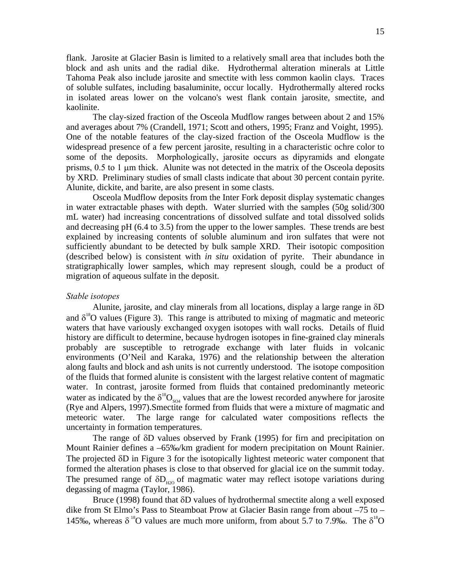flank. Jarosite at Glacier Basin is limited to a relatively small area that includes both the block and ash units and the radial dike. Hydrothermal alteration minerals at Little Tahoma Peak also include jarosite and smectite with less common kaolin clays. Traces of soluble sulfates, including basaluminite, occur locally. Hydrothermally altered rocks in isolated areas lower on the volcano's west flank contain jarosite, smectite, and kaolinite.

The clay-sized fraction of the Osceola Mudflow ranges between about 2 and 15% and averages about 7% (Crandell, 1971; Scott and others, 1995; Franz and Voight, 1995). One of the notable features of the clay-sized fraction of the Osceola Mudflow is the widespread presence of a few percent jarosite, resulting in a characteristic ochre color to some of the deposits. Morphologically, jarosite occurs as dipyramids and elongate prisms, 0.5 to 1 µm thick. Alunite was not detected in the matrix of the Osceola deposits by XRD. Preliminary studies of small clasts indicate that about 30 percent contain pyrite. Alunite, dickite, and barite, are also present in some clasts.

Osceola Mudflow deposits from the Inter Fork deposit display systematic changes in water extractable phases with depth. Water slurried with the samples (50g solid/300 mL water) had increasing concentrations of dissolved sulfate and total dissolved solids and decreasing pH (6.4 to 3.5) from the upper to the lower samples. These trends are best explained by increasing contents of soluble aluminum and iron sulfates that were not sufficiently abundant to be detected by bulk sample XRD. Their isotopic composition (described below) is consistent with *in situ* oxidation of pyrite. Their abundance in stratigraphically lower samples, which may represent slough, could be a product of migration of aqueous sulfate in the deposit.

#### *Stable isotopes*

Alunite, jarosite, and clay minerals from all locations, display a large range in  $\delta D$ and  $\delta^{18}$ O values (Figure 3). This range is attributed to mixing of magmatic and meteoric waters that have variously exchanged oxygen isotopes with wall rocks. Details of fluid history are difficult to determine, because hydrogen isotopes in fine-grained clay minerals probably are susceptible to retrograde exchange with later fluids in volcanic environments (O'Neil and Karaka, 1976) and the relationship between the alteration along faults and block and ash units is not currently understood. The isotope composition of the fluids that formed alunite is consistent with the largest relative content of magmatic water. In contrast, jarosite formed from fluids that contained predominantly meteoric water as indicated by the  $\delta^{18}O_{\text{SO}_4}$  values that are the lowest recorded anywhere for jarosite (Rye and Alpers, 1997).Smectite formed from fluids that were a mixture of magmatic and meteoric water. The large range for calculated water compositions reflects the uncertainty in formation temperatures.

The range of δD values observed by Frank (1995) for firn and precipitation on Mount Rainier defines a –65‰/km gradient for modern precipitation on Mount Rainier. The projected δD in Figure 3 for the isotopically lightest meteoric water component that formed the alteration phases is close to that observed for glacial ice on the summit today. The presumed range of  $\delta D_{\mu\nu\rho}$  of magmatic water may reflect isotope variations during degassing of magma (Taylor, 1986).

Bruce (1998) found that  $\delta D$  values of hydrothermal smectite along a well exposed dike from St Elmo's Pass to Steamboat Prow at Glacier Basin range from about –75 to – 145‰, whereas  $\delta^{18}O$  values are much more uniform, from about 5.7 to 7.9‰. The  $\delta^{18}O$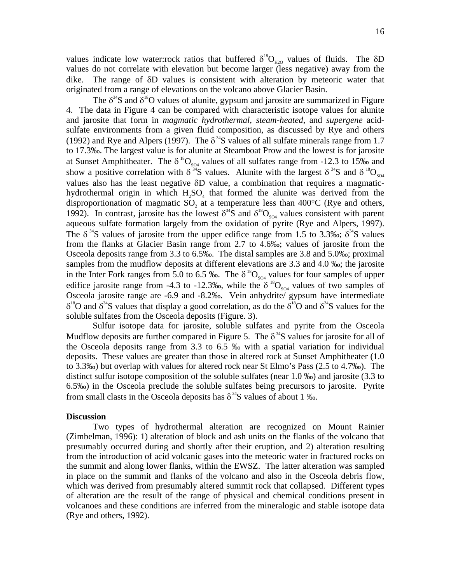originated from a range of elevations on the volcano above Glacier Basin. The  $\delta^{34}$ S and  $\delta^{18}$ O values of alunite, gypsum and jarosite are summarized in Figure Osceola jarosite range are -6.9 and -8.2‰. Vein anhydrite/ gypsum have intermediate  $\delta^{18}$ O and  $\delta^{34}$ S values that display a good correlation, as do the  $\delta^{18}$ O and  $\delta^{34}$ S values for the 4. The data in Figure 4 can be compared with characteristic isotope values for alunite and jarosite that form in *magmatic hydrothermal*, *steam-heated*, and *supergene* acidsulfate environments from a given fluid composition, as discussed by Rye and others (1992) and Rye and Alpers (1997). The  $\delta^{34}$ S values of all sulfate minerals range from 1.7 to 17.3‰. The largest value is for alunite at Steamboat Prow and the lowest is for jarosite at Sunset Amphitheater. The  $\delta^{18}O_{\text{so}_4}$  values of all sulfates range from -12.3 to 15‰ and show a positive correlation with  $\delta^{34}S$  values. Alunite with the largest  $\delta^{34}S$  and  $\delta^{18}O_{\rm SO4}$ values also has the least negative  $\delta D$  value, a combination that requires a magmatichydrothermal origin in which  $H_2SO_4$  that formed the alunite was derived from the disproportionation of magmatic SO, at a temperature less than  $400^{\circ}$ C (Rye and others, 1992). In contrast, jarosite has the lowest  $\delta^{34}S$  and  $\delta^{18}O_{\rm SO4}$  values consistent with parent aqueous sulfate formation largely from the oxidation of pyrite (Rye and Alpers, 1997). The  $\delta^{34}$ S values of jarosite from the upper edifice range from 1.5 to 3.3‰;  $\delta^{34}$ S values from the flanks at Glacier Basin range from 2.7 to 4.6‰; values of jarosite from the Osceola deposits range from 3.3 to 6.5‰. The distal samples are 3.8 and 5.0‰; proximal samples from the mudflow deposits at different elevations are 3.3 and 4.0 ‰; the jarosite in the Inter Fork ranges from 5.0 to 6.5 ‰. The  $\delta^{18}O_{\text{so4}}$  values for four samples of upper edifice jarosite range from -4.3 to -12.3‰, while the  $\delta^{18}O_{\rm SO4}$  values of two samples of soluble sulfates from the Osceola deposits (Figure. 3).

Sulfur isotope data for jarosite, soluble sulfates and pyrite from the Osceola Mudflow deposits are further compared in Figure 5. The  $\delta^{34}S$  values for jarosite for all of the Osceola deposits range from 3.3 to 6.5 ‰ with a spatial variation for individual deposits. These values are greater than those in altered rock at Sunset Amphitheater (1.0 to 3.3‰) but overlap with values for altered rock near St Elmo's Pass (2.5 to 4.7‰). The distinct sulfur isotope composition of the soluble sulfates (near 1.0 ‰) and jarosite (3.3 to 6.5‰) in the Osceola preclude the soluble sulfates being precursors to jarosite. Pyrite from small clasts in the Osceola deposits has  $\delta^{34}$ S values of about 1 ‰.

## **Discussion**

Two types of hydrothermal alteration are recognized on Mount Rainier (Zimbelman, 1996): 1) alteration of block and ash units on the flanks of the volcano that presumably occurred during and shortly after their eruption, and 2) alteration resulting from the introduction of acid volcanic gases into the meteoric water in fractured rocks on the summit and along lower flanks, within the EWSZ. The latter alteration was sampled in place on the summit and flanks of the volcano and also in the Osceola debris flow, which was derived from presumably altered summit rock that collapsed. Different types of alteration are the result of the range of physical and chemical conditions present in volcanoes and these conditions are inferred from the mineralogic and stable isotope data (Rye and others, 1992).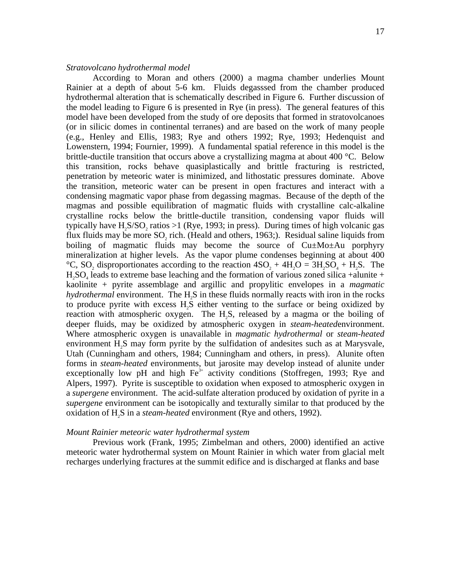## *Stratovolcano hydrothermal model*

According to Moran and others (2000) a magma chamber underlies Mount Rainier at a depth of about 5-6 km. Fluids degasssed from the chamber produced hydrothermal alteration that is schematically described in Figure 6. Further discussion of the model leading to Figure 6 is presented in Rye (in press). The general features of this model have been developed from the study of ore deposits that formed in stratovolcanoes (or in silicic domes in continental terranes) and are based on the work of many people (e.g., Henley and Ellis, 1983; Rye and others 1992; Rye, 1993; Hedenquist and Lowenstern, 1994; Fournier, 1999). A fundamental spatial reference in this model is the brittle-ductile transition that occurs above a crystallizing magma at about 400 °C. Below this transition, rocks behave quasiplastically and brittle fracturing is restricted, penetration by meteoric water is minimized, and lithostatic pressures dominate. Above the transition, meteoric water can be present in open fractures and interact with a condensing magmatic vapor phase from degassing magmas. Because of the depth of the magmas and possible equilibration of magmatic fluids with crystalline calc-alkaline crystalline rocks below the brittle-ductile transition, condensing vapor fluids will typically have  $H$ <sub>5</sub>S/SO<sub>2</sub> ratios  $>1$  (Rye, 1993; in press). During times of high volcanic gas flux fluids may be more  $SO<sub>2</sub>$  rich. (Heald and others, 1963;). Residual saline liquids from boiling of magmatic fluids may become the source of  $Cu \pm Mo \pm Au$  porphyry mineralization at higher levels. As the vapor plume condenses beginning at about 400 °C, SO, disproportionates according to the reaction  $4SO<sub>2</sub> + 4H<sub>2</sub>O = 3H<sub>2</sub>SO<sub>4</sub> + H<sub>2</sub>S$ . The  $H<sub>2</sub>SO<sub>4</sub>$  leads to extreme base leaching and the formation of various zoned silica +alunite + kaolinite + pyrite assemblage and argillic and propylitic envelopes in a *magmatic*   $$ to produce pyrite with excess  $H<sub>2</sub>$  either venting to the surface or being oxidized by reaction with atmospheric oxygen. The  $H_2S$ , released by a magma or the boiling of deeper fluids, may be oxidized by atmospheric oxygen in *steam-heated*environment. Where atmospheric oxygen is unavailable in *magmatic hydrothermal* or *steam-heated*  environment  $H_2S$  may form pyrite by the sulfidation of andesites such as at Marysvale, Utah (Cunningham and others, 1984; Cunningham and others, in press). Alunite often forms in *steam-heated* environments, but jarosite may develop instead of alunite under exceptionally low pH and high  $Fe<sup>3+</sup>$  activity conditions (Stoffregen, 1993; Rye and Alpers, 1997). Pyrite is susceptible to oxidation when exposed to atmospheric oxygen in a *supergene* environment. The acid-sulfate alteration produced by oxidation of pyrite in a *supergene* environment can be isotopically and texturally similar to that produced by the oxidation of H<sub>2</sub>S in a *steam-heated* environment (Rye and others, 1992).

## *Mount Rainier meteoric water hydrothermal system*

Previous work (Frank, 1995; Zimbelman and others, 2000) identified an active meteoric water hydrothermal system on Mount Rainier in which water from glacial melt recharges underlying fractures at the summit edifice and is discharged at flanks and base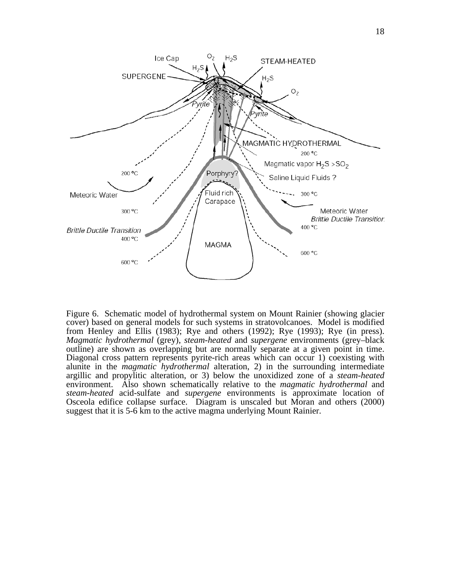

Figure 6. Schematic model of hydrothermal system on Mount Rainier (showing glacier cover) based on general models for such systems in stratovolcanoes. Model is modified from Henley and Ellis (1983); Rye and others (1992); Rye (1993); Rye (in press). *Magmatic hydrothermal* (grey), *steam-heated* and *supergene* environments (grey–black outline) are shown as overlapping but are normally separate at a given point in time. Diagonal cross pattern represents pyrite-rich areas which can occur 1) coexisting with alunite in the *magmatic hydrothermal* alteration, 2) in the surrounding intermediate argillic and propylitic alteration, or 3) below the unoxidized zone of a *steam-heated*  environment. Also shown schematically relative to the *magmatic hydrothermal* and *steam-heated* acid-sulfate and *supergene* environments is approximate location of Osceola edifice collapse surface. Diagram is unscaled but Moran and others (2000) suggest that it is 5-6 km to the active magma underlying Mount Rainier.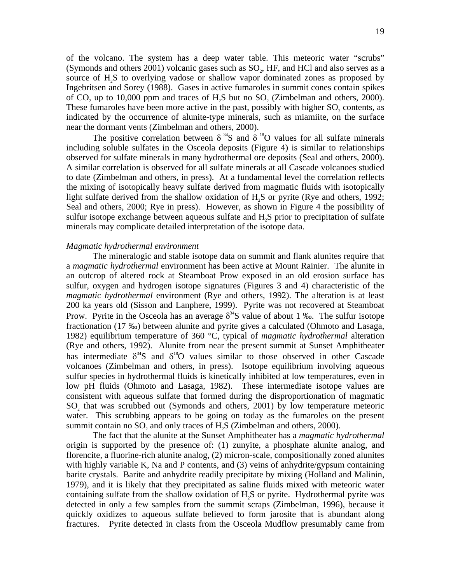of the volcano. The system has a deep water table. This meteoric water "scrubs" (Symonds and others  $2001$ ) volcanic gases such as  $SO<sub>2</sub>$ , HF, and HCl and also serves as a source of H2S to overlying vadose or shallow vapor dominated zones as proposed by Ingebritsen and Sorey (1988). Gases in active fumaroles in summit cones contain spikes of  $CO_2$  up to 10,000 ppm and traces of  $H_2S$  but no  $SO_2$  (Zimbelman and others, 2000). These fumaroles have been more active in the past, possibly with higher  $SO_2$  contents, as indicated by the occurrence of alunite-type minerals, such as miamiite, on the surface near the dormant vents (Zimbelman and others, 2000).

The positive correlation between  $\delta^{34}S$  and  $\delta^{18}O$  values for all sulfate minerals including soluble sulfates in the Osceola deposits (Figure 4) is similar to relationships observed for sulfate minerals in many hydrothermal ore deposits (Seal and others, 2000). A similar correlation is observed for all sulfate minerals at all Cascade volcanoes studied to date (Zimbelman and others, in press). At a fundamental level the correlation reflects the mixing of isotopically heavy sulfate derived from magmatic fluids with isotopically light sulfate derived from the shallow oxidation of  $H<sub>2</sub>S$  or pyrite (Rye and others, 1992; Seal and others, 2000; Rye in press). However, as shown in Figure 4 the possibility of sulfur isotope exchange between aqueous sulfate and H2S prior to precipitation of sulfate minerals may complicate detailed interpretation of the isotope data.

## *Magmatic hydrothermal environment*

The mineralogic and stable isotope data on summit and flank alunites require that a *magmatic hydrothermal* environment has been active at Mount Rainier. The alunite in an outcrop of altered rock at Steamboat Prow exposed in an old erosion surface has sulfur, oxygen and hydrogen isotope signatures (Figures 3 and 4) characteristic of the *magmatic hydrothermal* environment (Rye and others, 1992). The alteration is at least 200 ka years old (Sisson and Lanphere, 1999). Pyrite was not recovered at Steamboat Prow. Pyrite in the Osceola has an average  $\delta^{34}S$  value of about 1 ‰. The sulfur isotope fractionation (17 ‰) between alunite and pyrite gives a calculated (Ohmoto and Lasaga, 1982) equilibrium temperature of 360 °C, typical of *magmatic hydrothermal* alteration (Rye and others, 1992). Alunite from near the present summit at Sunset Amphitheater has intermediate  $\delta^{34}S$  and  $\delta^{18}O$  values similar to those observed in other Cascade volcanoes (Zimbelman and others, in press). Isotope equilibrium involving aqueous sulfur species in hydrothermal fluids is kinetically inhibited at low temperatures, even in low pH fluids (Ohmoto and Lasaga, 1982). These intermediate isotope values are consistent with aqueous sulfate that formed during the disproportionation of magmatic  $SO<sub>2</sub>$  that was scrubbed out (Symonds and others, 2001) by low temperature meteoric water. This scrubbing appears to be going on today as the fumaroles on the present summit contain no  $SO<sub>2</sub>$  and only traces of  $H<sub>2</sub>S$  (Zimbelman and others, 2000).

The fact that the alunite at the Sunset Amphitheater has a *magmatic hydrothermal*  origin is supported by the presence of: (1) zunyite, a phosphate alunite analog, and florencite, a fluorine-rich alunite analog, (2) micron-scale, compositionally zoned alunites with highly variable K, Na and P contents, and (3) veins of anhydrite/gypsum containing barite crystals. Barite and anhydrite readily precipitate by mixing (Holland and Malinin, 1979), and it is likely that they precipitated as saline fluids mixed with meteoric water containing sulfate from the shallow oxidation of H2S or pyrite. Hydrothermal pyrite was detected in only a few samples from the summit scraps (Zimbelman, 1996), because it quickly oxidizes to aqueous sulfate believed to form jarosite that is abundant along fractures. Pyrite detected in clasts from the Osceola Mudflow presumably came from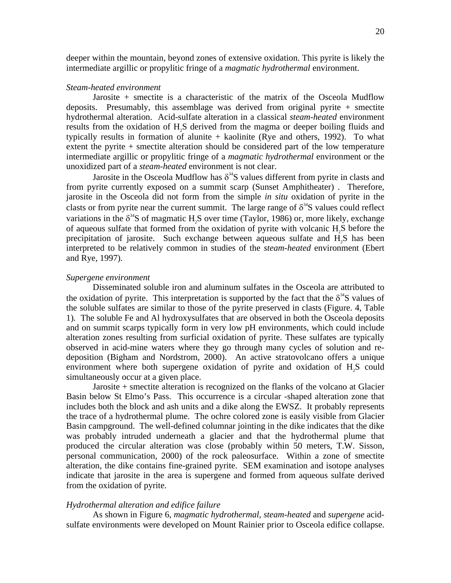deeper within the mountain, beyond zones of extensive oxidation. This pyrite is likely the intermediate argillic or propylitic fringe of a *magmatic hydrothermal* environment.

## *Steam-heated environment*

Jarosite + smectite is a characteristic of the matrix of the Osceola Mudflow deposits. Presumably, this assemblage was derived from original pyrite  $+$  smectite hydrothermal alteration. Acid-sulfate alteration in a classical *steam-heated* environment results from the oxidation of H2S derived from the magma or deeper boiling fluids and typically results in formation of alunite + kaolinite (Rye and others, 1992). To what extent the pyrite + smectite alteration should be considered part of the low temperature intermediate argillic or propylitic fringe of a *magmatic hydrothermal* environment or the unoxidized part of a *steam-heated* environment is not clear.

Jarosite in the Osceola Mudflow has  $\delta^{34}$ S values different from pyrite in clasts and from pyrite currently exposed on a summit scarp (Sunset Amphitheater) . Therefore, jarosite in the Osceola did not form from the simple *in situ* oxidation of pyrite in the clasts or from pyrite near the current summit. The large range of  $\delta^{34}$ S values could reflect variations in the  $\delta^{34}$ S of magmatic H<sub>2</sub>S over time (Taylor, 1986) or, more likely, exchange of aqueous sulfate that formed from the oxidation of pyrite with volcanic H2S before the precipitation of jarosite. Such exchange between aqueous sulfate and H2S has been interpreted to be relatively common in studies of the *steam-heated* environment (Ebert and Rye, 1997).

#### *Supergene environment*

Disseminated soluble iron and aluminum sulfates in the Osceola are attributed to the oxidation of pyrite. This interpretation is supported by the fact that the  $\delta^{34}S$  values of the soluble sulfates are similar to those of the pyrite preserved in clasts (Figure. 4, Table 1)*.* The soluble Fe and Al hydroxysulfates that are observed in both the Osceola deposits and on summit scarps typically form in very low pH environments, which could include alteration zones resulting from surficial oxidation of pyrite. These sulfates are typically observed in acid-mine waters where they go through many cycles of solution and redeposition (Bigham and Nordstrom, 2000). An active stratovolcano offers a unique environment where both supergene oxidation of pyrite and oxidation of H<sub>2</sub>S could simultaneously occur at a given place.

Jarosite + smectite alteration is recognized on the flanks of the volcano at Glacier Basin below St Elmo's Pass. This occurrence is a circular -shaped alteration zone that includes both the block and ash units and a dike along the EWSZ. It probably represents the trace of a hydrothermal plume. The ochre colored zone is easily visible from Glacier Basin campground. The well-defined columnar jointing in the dike indicates that the dike was probably intruded underneath a glacier and that the hydrothermal plume that produced the circular alteration was close (probably within 50 meters, T.W. Sisson, personal communication, 2000) of the rock paleosurface. Within a zone of smectite alteration, the dike contains fine-grained pyrite. SEM examination and isotope analyses indicate that jarosite in the area is supergene and formed from aqueous sulfate derived from the oxidation of pyrite.

#### *Hydrothermal alteration and edifice failure*

As shown in Figure 6, *magmatic hydrothermal*, *steam-heated* and *supergene* acidsulfate environments were developed on Mount Rainier prior to Osceola edifice collapse.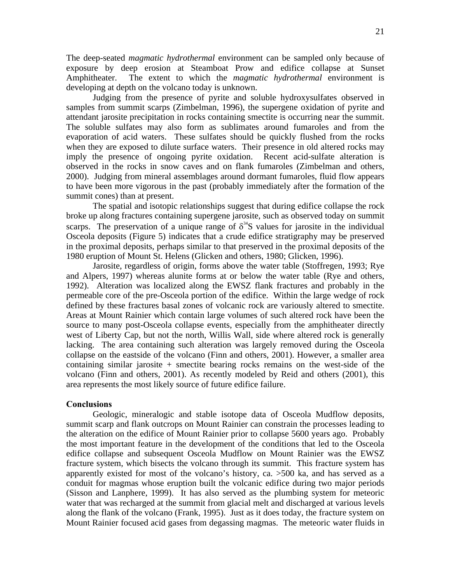The deep-seated *magmatic hydrothermal* environment can be sampled only because of exposure by deep erosion at Steamboat Prow and edifice collapse at Sunset Amphitheater. The extent to which the *magmatic hydrothermal* environment is developing at depth on the volcano today is unknown.

Judging from the presence of pyrite and soluble hydroxysulfates observed in samples from summit scarps (Zimbelman, 1996), the supergene oxidation of pyrite and attendant jarosite precipitation in rocks containing smectite is occurring near the summit. The soluble sulfates may also form as sublimates around fumaroles and from the evaporation of acid waters. These sulfates should be quickly flushed from the rocks when they are exposed to dilute surface waters. Their presence in old altered rocks may imply the presence of ongoing pyrite oxidation. Recent acid-sulfate alteration is observed in the rocks in snow caves and on flank fumaroles (Zimbelman and others, 2000). Judging from mineral assemblages around dormant fumaroles, fluid flow appears to have been more vigorous in the past (probably immediately after the formation of the summit cones) than at present.

The spatial and isotopic relationships suggest that during edifice collapse the rock broke up along fractures containing supergene jarosite, such as observed today on summit scarps. The preservation of a unique range of  $\delta^{34}$ S values for jarosite in the individual Osceola deposits (Figure 5) indicates that a crude edifice stratigraphy may be preserved in the proximal deposits, perhaps similar to that preserved in the proximal deposits of the 1980 eruption of Mount St. Helens (Glicken and others, 1980; Glicken, 1996).

Jarosite, regardless of origin, forms above the water table (Stoffregen, 1993; Rye and Alpers, 1997) whereas alunite forms at or below the water table (Rye and others, 1992). Alteration was localized along the EWSZ flank fractures and probably in the permeable core of the pre-Osceola portion of the edifice. Within the large wedge of rock defined by these fractures basal zones of volcanic rock are variously altered to smectite. Areas at Mount Rainier which contain large volumes of such altered rock have been the source to many post-Osceola collapse events, especially from the amphitheater directly west of Liberty Cap, but not the north, Willis Wall, side where altered rock is generally lacking. The area containing such alteration was largely removed during the Osceola collapse on the eastside of the volcano (Finn and others, 2001). However, a smaller area containing similar jarosite  $+$  smectite bearing rocks remains on the west-side of the volcano (Finn and others, 2001). As recently modeled by Reid and others (2001), this area represents the most likely source of future edifice failure.

# **Conclusions**

Geologic, mineralogic and stable isotope data of Osceola Mudflow deposits, summit scarp and flank outcrops on Mount Rainier can constrain the processes leading to the alteration on the edifice of Mount Rainier prior to collapse 5600 years ago. Probably the most important feature in the development of the conditions that led to the Osceola edifice collapse and subsequent Osceola Mudflow on Mount Rainier was the EWSZ fracture system, which bisects the volcano through its summit. This fracture system has apparently existed for most of the volcano's history, ca. >500 ka, and has served as a conduit for magmas whose eruption built the volcanic edifice during two major periods (Sisson and Lanphere, 1999). It has also served as the plumbing system for meteoric water that was recharged at the summit from glacial melt and discharged at various levels along the flank of the volcano (Frank, 1995). Just as it does today, the fracture system on Mount Rainier focused acid gases from degassing magmas. The meteoric water fluids in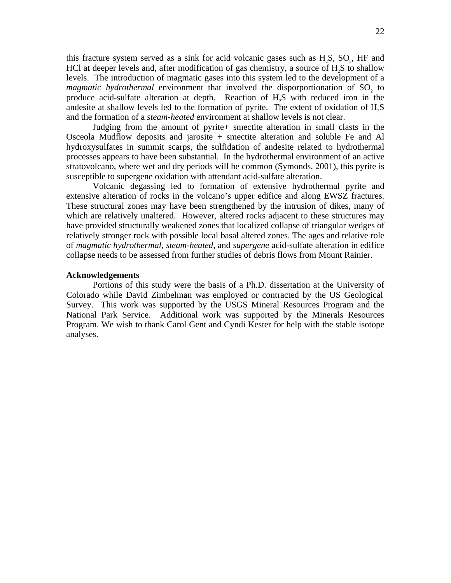this fracture system served as a sink for acid volcanic gases such as  $H_2S$ ,  $SO_2$ , HF and HCl at deeper levels and, after modification of gas chemistry, a source of H2S to shallow levels. The introduction of magmatic gases into this system led to the development of a *magmatic hydrothermal* environment that involved the disporportionation of SO<sub>2</sub> to produce acid-sulfate alteration at depth. Reaction of H<sub>2</sub>S with reduced iron in the andesite at shallow levels led to the formation of pyrite. The extent of oxidation of  $H_2S$ and the formation of a *steam-heated* environment at shallow levels is not clear.

Judging from the amount of pyrite+ smectite alteration in small clasts in the Osceola Mudflow deposits and jarosite + smectite alteration and soluble Fe and Al hydroxysulfates in summit scarps, the sulfidation of andesite related to hydrothermal processes appears to have been substantial. In the hydrothermal environment of an active stratovolcano, where wet and dry periods will be common (Symonds, 2001), this pyrite is susceptible to supergene oxidation with attendant acid-sulfate alteration.

Volcanic degassing led to formation of extensive hydrothermal pyrite and extensive alteration of rocks in the volcano's upper edifice and along EWSZ fractures. These structural zones may have been strengthened by the intrusion of dikes, many of which are relatively unaltered. However, altered rocks adjacent to these structures may have provided structurally weakened zones that localized collapse of triangular wedges of relatively stronger rock with possible local basal altered zones. The ages and relative role of *magmatic hydrothermal*, *steam-heated*, and *supergene* acid-sulfate alteration in edifice collapse needs to be assessed from further studies of debris flows from Mount Rainier.

# **Acknowledgements**

Portions of this study were the basis of a Ph.D. dissertation at the University of Colorado while David Zimbelman was employed or contracted by the US Geological Survey. This work was supported by the USGS Mineral Resources Program and the National Park Service. Additional work was supported by the Minerals Resources Program. We wish to thank Carol Gent and Cyndi Kester for help with the stable isotope analyses.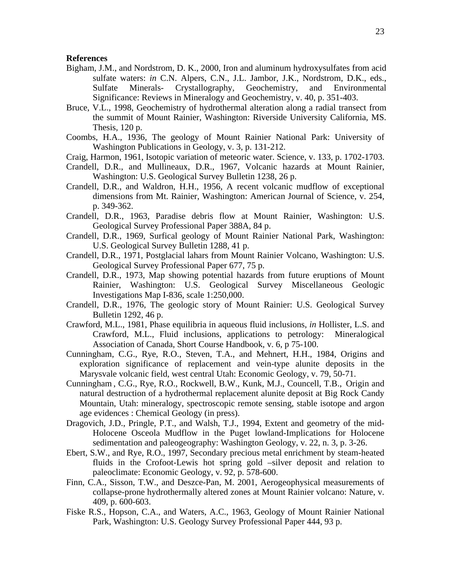# **References**

- Bigham, J.M., and Nordstrom, D. K., 2000, Iron and aluminum hydroxysulfates from acid sulfate waters: *in* C.N. Alpers, C.N., J.L. Jambor, J.K., Nordstrom, D.K., eds., Sulfate Minerals- Crystallography, Geochemistry, and Environmental Significance: Reviews in Mineralogy and Geochemistry, v. 40, p. 351-403.
- Bruce, V.L., 1998, Geochemistry of hydrothermal alteration along a radial transect from the summit of Mount Rainier, Washington: Riverside University California, MS. Thesis, 120 p.
- Coombs, H.A., 1936, The geology of Mount Rainier National Park: University of Washington Publications in Geology, v. 3, p. 131-212.
- Craig, Harmon, 1961, Isotopic variation of meteoric water. Science, v. 133, p. 1702-1703.
- Crandell, D.R., and Mullineaux, D.R., 1967, Volcanic hazards at Mount Rainier, Washington: U.S. Geological Survey Bulletin 1238, 26 p.
- Crandell, D.R., and Waldron, H.H., 1956, A recent volcanic mudflow of exceptional dimensions from Mt. Rainier, Washington: American Journal of Science, v. 254, p. 349-362.
- Crandell, D.R., 1963, Paradise debris flow at Mount Rainier, Washington: U.S. Geological Survey Professional Paper 388A, 84 p.
- Crandell, D.R., 1969, Surfical geology of Mount Rainier National Park, Washington: U.S. Geological Survey Bulletin 1288, 41 p.
- Crandell, D.R., 1971, Postglacial lahars from Mount Rainier Volcano, Washington: U.S. Geological Survey Professional Paper 677, 75 p.
- Crandell, D.R., 1973, Map showing potential hazards from future eruptions of Mount Rainier, Washington: U.S. Geological Survey Miscellaneous Geologic Investigations Map I-836, scale 1:250,000.
- Crandell, D.R., 1976, The geologic story of Mount Rainier: U.S. Geological Survey Bulletin 1292, 46 p.
- Crawford, M.L., 1981, Phase equilibria in aqueous fluid inclusions, *in* Hollister, L.S. and Crawford, M.L., Fluid inclusions, applications to petrology: Mineralogical Association of Canada, Short Course Handbook, v. 6, p 75-100.
- Cunningham, C.G., Rye, R.O., Steven, T.A., and Mehnert, H.H., 1984, Origins and exploration significance of replacement and vein-type alunite deposits in the Marysvale volcanic field, west central Utah: Economic Geology, v. 79, 50-71.
- Cunningham , C.G., Rye, R.O., Rockwell, B.W., Kunk, M.J., Councell, T.B., Origin and natural destruction of a hydrothermal replacement alunite deposit at Big Rock Candy Mountain, Utah: mineralogy, spectroscopic remote sensing, stable isotope and argon age evidences : Chemical Geology (in press).
- Dragovich, J.D., Pringle, P.T., and Walsh, T.J., 1994, Extent and geometry of the mid-Holocene Osceola Mudflow in the Puget lowland-Implications for Holocene sedimentation and paleogeography: Washington Geology, v. 22, n. 3, p. 3-26.
- Ebert, S.W., and Rye, R.O., 1997, Secondary precious metal enrichment by steam-heated fluids in the Crofoot-Lewis hot spring gold –silver deposit and relation to paleoclimate: Economic Geology, v. 92, p. 578-600.
- Finn, C.A., Sisson, T.W., and Deszce-Pan, M. 2001, Aerogeophysical measurements of collapse-prone hydrothermally altered zones at Mount Rainier volcano: Nature, v. 409, p. 600-603.
- Fiske R.S., Hopson, C.A., and Waters, A.C., 1963, Geology of Mount Rainier National Park, Washington: U.S. Geology Survey Professional Paper 444, 93 p.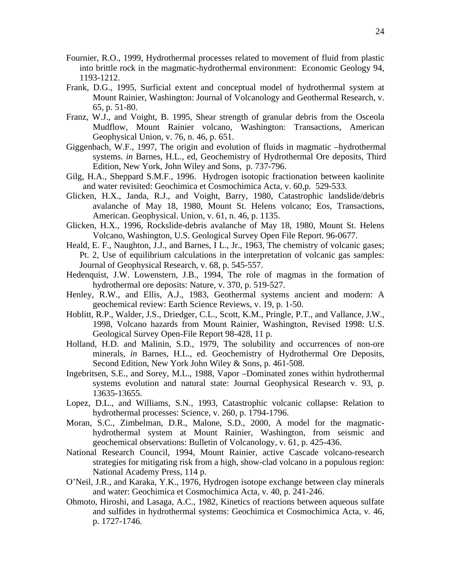- Fournier, R.O., 1999, Hydrothermal processes related to movement of fluid from plastic into brittle rock in the magmatic-hydrothermal environment: Economic Geology 94, 1193-1212.
- Frank, D.G., 1995, Surficial extent and conceptual model of hydrothermal system at Mount Rainier, Washington: Journal of Volcanology and Geothermal Research, v. 65, p. 51-80.
- Franz, W.J., and Voight, B. 1995, Shear strength of granular debris from the Osceola Mudflow, Mount Rainier volcano, Washington: Transactions, American Geophysical Union, v. 76, n. 46, p. 651.
- Giggenbach, W.F., 1997, The origin and evolution of fluids in magmatic –hydrothermal systems. *in* Barnes, H.L., ed, Geochemistry of Hydrothermal Ore deposits, Third Edition, New York, John Wiley and Sons, p. 737-796.
- Gilg, H.A., Sheppard S.M.F., 1996. Hydrogen isotopic fractionation between kaolinite and water revisited: Geochimica et Cosmochimica Acta, v. 60,p. 529-533.
- Glicken, H.X., Janda, R.J., and Voight, Barry, 1980, Catastrophic landslide/debris avalanche of May 18, 1980, Mount St. Helens volcano; Eos, Transactions, American. Geophysical. Union, v. 61, n. 46, p. 1135.
- Glicken, H.X., 1996, Rockslide-debris avalanche of May 18, 1980, Mount St. Helens Volcano, Washington, U.S. Geological Survey Open File Report. 96-0677.
- Heald, E. F., Naughton, J.J., and Barnes, I L., Jr., 1963, The chemistry of volcanic gases; Pt. 2, Use of equilibrium calculations in the interpretation of volcanic gas samples: Journal of Geophysical Research, v. 68, p. 545-557.
- Hedenquist, J.W. Lowenstern, J.B., 1994, The role of magmas in the formation of hydrothermal ore deposits: Nature, v. 370, p. 519-527.
- Henley, R.W., and Ellis, A.J., 1983, Geothermal systems ancient and modern: A geochemical review: Earth Science Reviews, v. 19, p. 1-50.
- Hoblitt, R.P., Walder, J.S., Driedger, C.L., Scott, K.M., Pringle, P.T., and Vallance, J.W., 1998, Volcano hazards from Mount Rainier, Washington, Revised 1998: U.S. Geological Survey Open-File Report 98-428, 11 p.
- Holland, H.D. and Malinin, S.D., 1979, The solubility and occurrences of non-ore minerals, *in* Barnes, H.L., ed. Geochemistry of Hydrothermal Ore Deposits, Second Edition, New York John Wiley & Sons, p. 461-508.
- Ingebritsen, S.E., and Sorey, M.L., 1988, Vapor –Dominated zones within hydrothermal systems evolution and natural state: Journal Geophysical Research v. 93, p. 13635-13655.
- Lopez, D.L., and Williams, S.N., 1993, Catastrophic volcanic collapse: Relation to hydrothermal processes: Science, v. 260, p. 1794-1796.
- Moran, S.C., Zimbelman, D.R., Malone, S.D., 2000, A model for the magmatichydrothermal system at Mount Rainier, Washington, from seismic and geochemical observations: Bulletin of Volcanology, v. 61, p. 425-436.
- National Research Council, 1994, Mount Rainier, active Cascade volcano-research strategies for mitigating risk from a high, show-clad volcano in a populous region: National Academy Press, 114 p.
- O'Neil, J.R., and Karaka, Y.K., 1976, Hydrogen isotope exchange between clay minerals and water: Geochimica et Cosmochimica Acta, v. 40, p. 241-246.
- Ohmoto, Hiroshi, and Lasaga, A.C., 1982, Kinetics of reactions between aqueous sulfate and sulfides in hydrothermal systems: Geochimica et Cosmochimica Acta, v. 46, p. 1727-1746.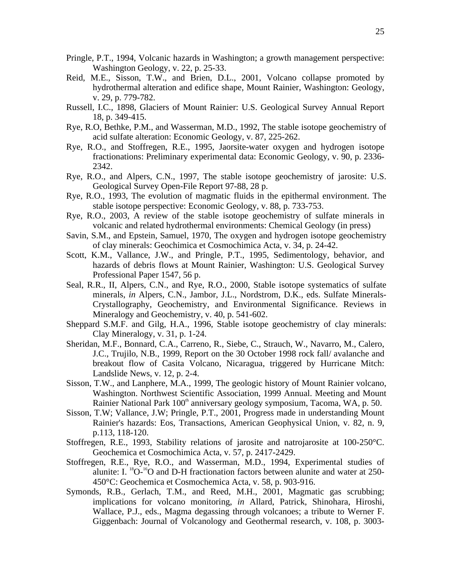- Pringle, P.T., 1994, Volcanic hazards in Washington; a growth management perspective: Washington Geology, v. 22, p. 25-33.
- Reid, M.E., Sisson, T.W., and Brien, D.L., 2001, Volcano collapse promoted by hydrothermal alteration and edifice shape, Mount Rainier, Washington: Geology, v. 29, p. 779-782.
- Russell, I.C., 1898, Glaciers of Mount Rainier: U.S. Geological Survey Annual Report 18, p. 349-415.
- Rye, R.O, Bethke, P.M., and Wasserman, M.D., 1992, The stable isotope geochemistry of acid sulfate alteration: Economic Geology, v. 87, 225-262.
- Rye, R.O., and Stoffregen, R.E., 1995, Jaorsite-water oxygen and hydrogen isotope fractionations: Preliminary experimental data: Economic Geology, v. 90, p. 2336 2342.
- Rye, R.O., and Alpers, C.N., 1997, The stable isotope geochemistry of jarosite: U.S. Geological Survey Open-File Report 97-88, 28 p.
- Rye, R.O., 1993, The evolution of magmatic fluids in the epithermal environment. The stable isotope perspective: Economic Geology, v. 88, p. 733-753.
- Rye, R.O., 2003, A review of the stable isotope geochemistry of sulfate minerals in volcanic and related hydrothermal environments: Chemical Geology (in press)
- Savin, S.M., and Epstein, Samuel, 1970, The oxygen and hydrogen isotope geochemistry of clay minerals: Geochimica et Cosmochimica Acta, v. 34, p. 24-42.
- Scott, K.M., Vallance, J.W., and Pringle, P.T., 1995, Sedimentology, behavior, and hazards of debris flows at Mount Rainier, Washington: U.S. Geological Survey Professional Paper 1547, 56 p.
- Seal, R.R., II, Alpers, C.N., and Rye, R.O., 2000, Stable isotope systematics of sulfate minerals, *in* Alpers, C.N., Jambor, J.L., Nordstrom, D.K., eds. Sulfate Minerals-Crystallography, Geochemistry, and Environmental Significance. Reviews in Mineralogy and Geochemistry, v. 40, p. 541-602.
- Sheppard S.M.F. and Gilg, H.A., 1996, Stable isotope geochemistry of clay minerals: Clay Mineralogy, v. 31, p. 1-24.
- Sheridan, M.F., Bonnard, C.A., Carreno, R., Siebe, C., Strauch, W., Navarro, M., Calero, J.C., Trujilo, N.B., 1999, Report on the 30 October 1998 rock fall/ avalanche and breakout flow of Casita Volcano, Nicaragua, triggered by Hurricane Mitch: Landslide News, v. 12, p. 2-4.
- Sisson, T.W., and Lanphere, M.A., 1999, The geologic history of Mount Rainier volcano, Washington. Northwest Scientific Association, 1999 Annual. Meeting and Mount Rainier National Park 100<sup>th</sup> anniversary geology symposium, Tacoma, WA, p. 50.
- Sisson, T.W; Vallance, J.W; Pringle, P.T., 2001, Progress made in understanding Mount Rainier's hazards: Eos, Transactions, American Geophysical Union, v. 82, n. 9, p.113, 118-120.
- Stoffregen, R.E., 1993, Stability relations of jarosite and natrojarosite at 100-250°C. Geochemica et Cosmochimica Acta, v. 57, p. 2417-2429.
- Stoffregen, R.E., Rye, R.O., and Wasserman, M.D., 1994, Experimental studies of alunite: I.  ${}^{18}O^{-16}O$  and D-H fractionation factors between alunite and water at 250-450°C: Geochemica et Cosmochemica Acta, v. 58, p. 903-916.
- Symonds, R.B., Gerlach, T.M., and Reed, M.H., 2001, Magmatic gas scrubbing; implications for volcano monitoring, *in* Allard, Patrick, Shinohara, Hiroshi, Wallace, P.J., eds., Magma degassing through volcanoes; a tribute to Werner F. Giggenbach: Journal of Volcanology and Geothermal research, v. 108, p. 3003